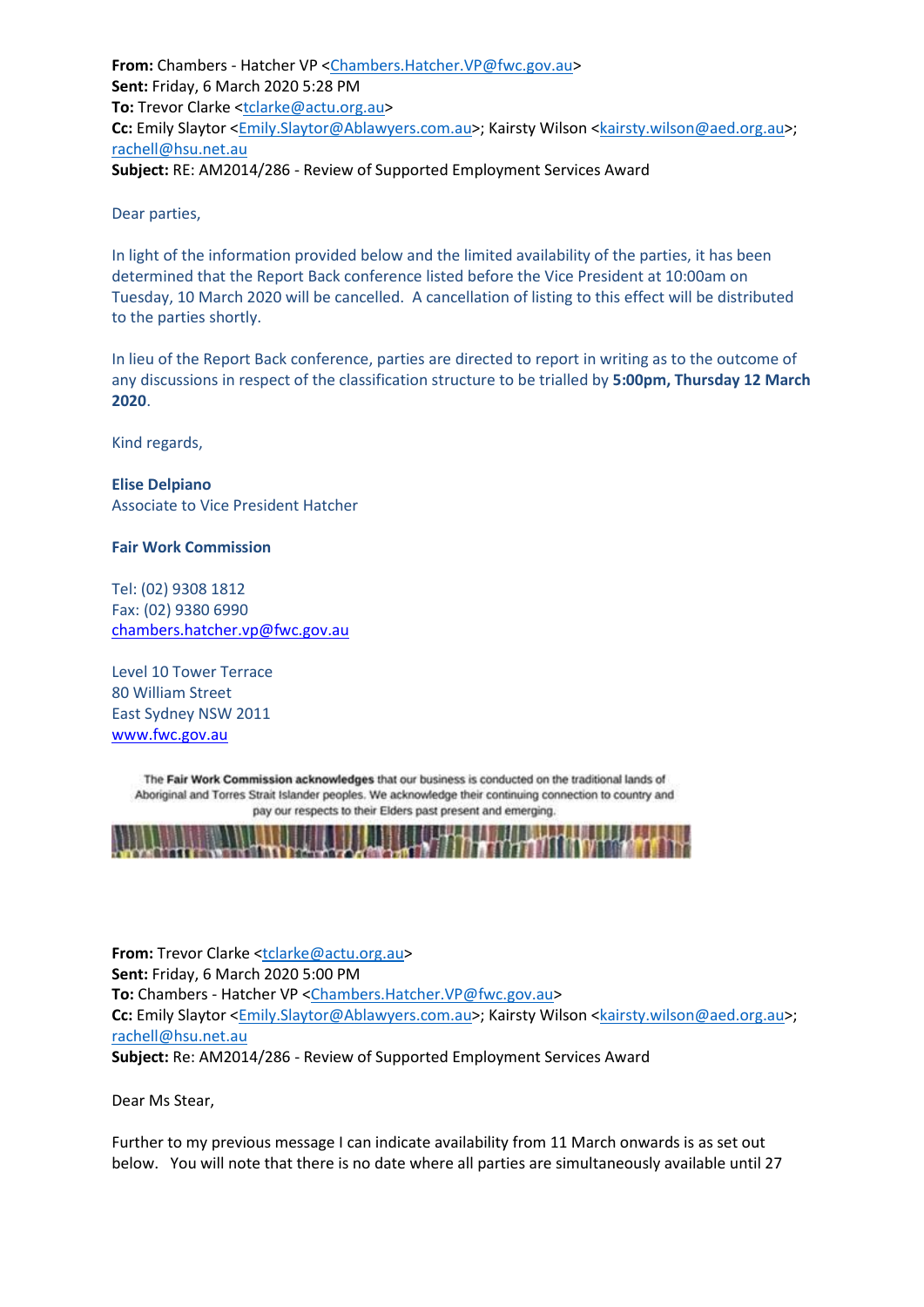**From:** Chambers - Hatcher VP [<Chambers.Hatcher.VP@fwc.gov.au>](mailto:Chambers.Hatcher.VP@fwc.gov.au) **Sent:** Friday, 6 March 2020 5:28 PM **To:** Trevor Clarke [<tclarke@actu.org.au>](mailto:tclarke@actu.org.au) **Cc:** Emily Slaytor [<Emily.Slaytor@Ablawyers.com.au>](mailto:Emily.Slaytor@Ablawyers.com.au); Kairsty Wilson [<kairsty.wilson@aed.org.au>](mailto:kairsty.wilson@aed.org.au); [rachell@hsu.net.au](mailto:rachell@hsu.net.au) **Subject:** RE: AM2014/286 - Review of Supported Employment Services Award

Dear parties,

In light of the information provided below and the limited availability of the parties, it has been determined that the Report Back conference listed before the Vice President at 10:00am on Tuesday, 10 March 2020 will be cancelled. A cancellation of listing to this effect will be distributed to the parties shortly.

In lieu of the Report Back conference, parties are directed to report in writing as to the outcome of any discussions in respect of the classification structure to be trialled by **5:00pm, Thursday 12 March 2020**.

Kind regards,

**Elise Delpiano** Associate to Vice President Hatcher

**Fair Work Commission** 

Tel: (02) 9308 1812 Fax: (02) 9380 6990 [chambers.hatcher.vp@fwc.gov.au](mailto:chambers.hatcher.vp@fwc.gov.au) 

Level 10 Tower Terrace 80 William Street East Sydney NSW 2011 [www.fwc.gov.au](http://www.fwc.gov.au/)

The Fair Work Commission acknowledges that our business is conducted on the traditional lands of Aboriginal and Torres Strait Islander peoples. We acknowledge their continuing connection to country and pay our respects to their Elders past present and emerging.



**From:** Trevor Clarke [<tclarke@actu.org.au>](mailto:tclarke@actu.org.au) **Sent:** Friday, 6 March 2020 5:00 PM **To:** Chambers - Hatcher VP [<Chambers.Hatcher.VP@fwc.gov.au>](mailto:Chambers.Hatcher.VP@fwc.gov.au) **Cc:** Emily Slaytor [<Emily.Slaytor@Ablawyers.com.au>](mailto:Emily.Slaytor@Ablawyers.com.au); Kairsty Wilson [<kairsty.wilson@aed.org.au>](mailto:kairsty.wilson@aed.org.au); [rachell@hsu.net.au](mailto:rachell@hsu.net.au) **Subject:** Re: AM2014/286 - Review of Supported Employment Services Award

Dear Ms Stear,

Further to my previous message I can indicate availability from 11 March onwards is as set out below. You will note that there is no date where all parties are simultaneously available until 27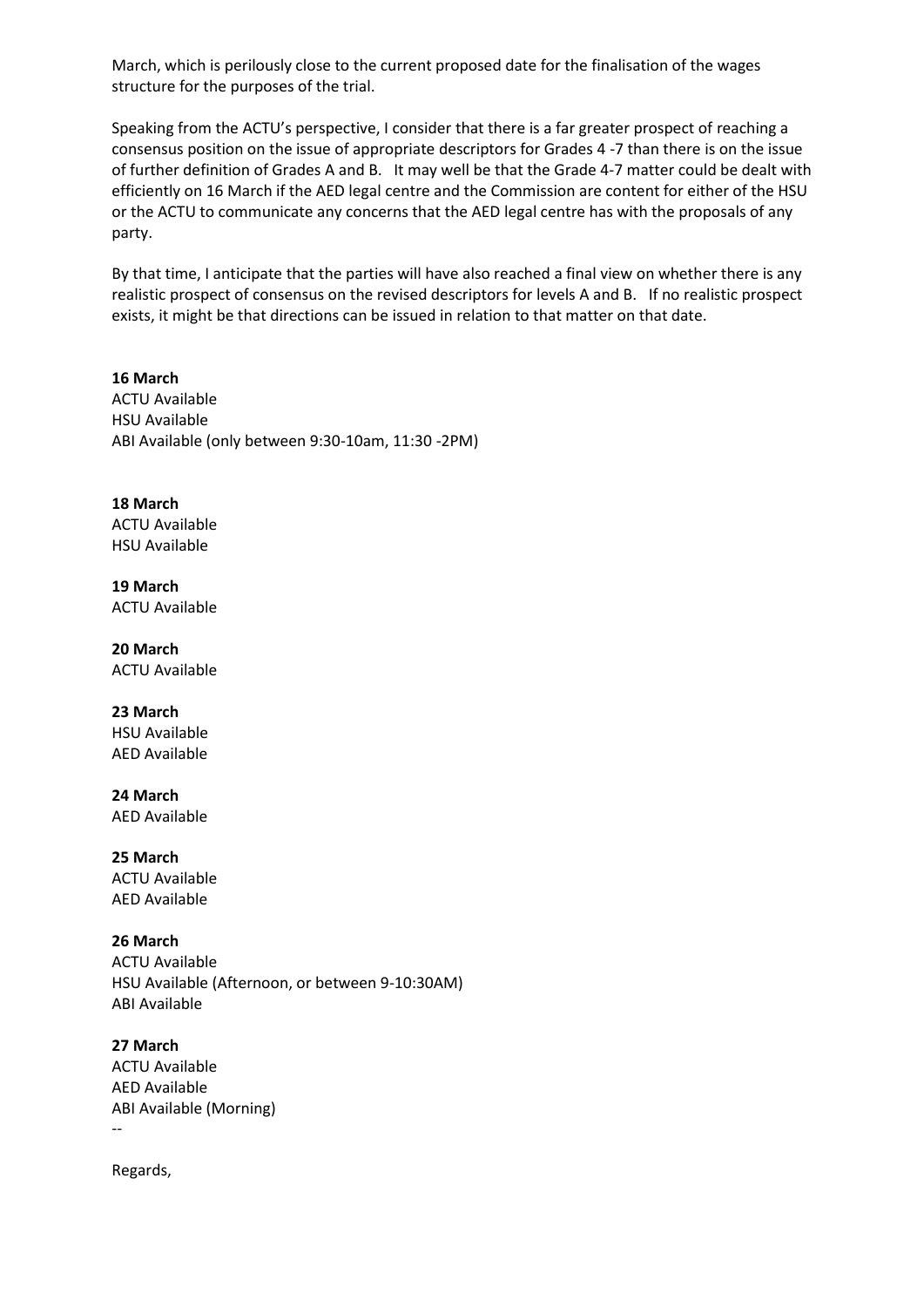March, which is perilously close to the current proposed date for the finalisation of the wages structure for the purposes of the trial.

Speaking from the ACTU's perspective, I consider that there is a far greater prospect of reaching a consensus position on the issue of appropriate descriptors for Grades 4 -7 than there is on the issue of further definition of Grades A and B. It may well be that the Grade 4-7 matter could be dealt with efficiently on 16 March if the AED legal centre and the Commission are content for either of the HSU or the ACTU to communicate any concerns that the AED legal centre has with the proposals of any party.

By that time, I anticipate that the parties will have also reached a final view on whether there is any realistic prospect of consensus on the revised descriptors for levels A and B. If no realistic prospect exists, it might be that directions can be issued in relation to that matter on that date.

**16 March** ACTU Available HSU Available ABI Available (only between 9:30-10am, 11:30 -2PM)

**18 March** ACTU Available HSU Available

**19 March** ACTU Available

**20 March** ACTU Available

**23 March** HSU Available

AED Available

**24 March** AED Available

**25 March** ACTU Available AED Available

**26 March** ACTU Available HSU Available (Afternoon, or between 9-10:30AM) ABI Available

**27 March** ACTU Available AED Available ABI Available (Morning) --

Regards,